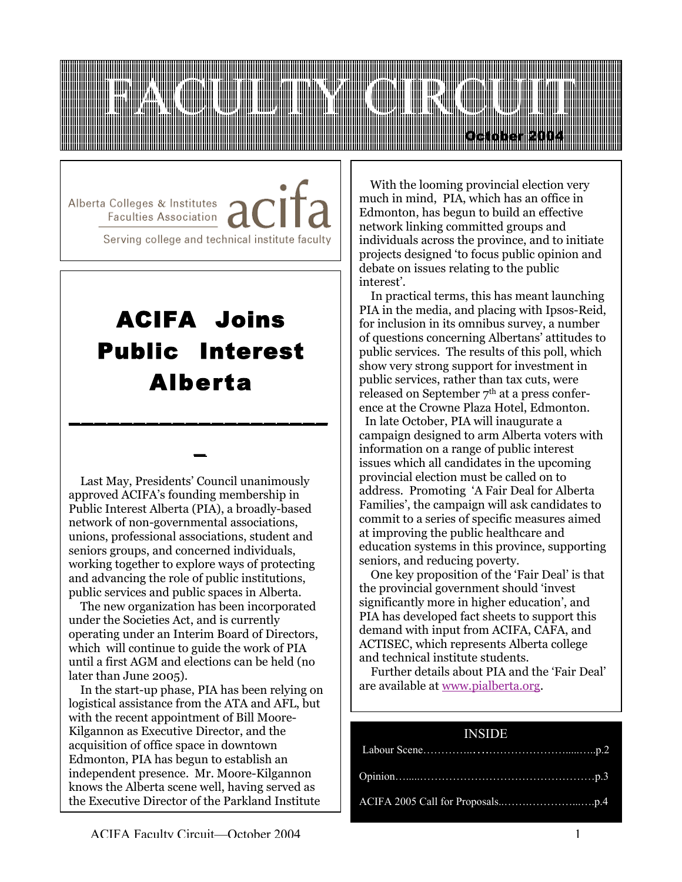

Alberta Colleges & Institutes / **Faculties Association** Serving college and technical institute faculty

# ACIFA Joins Public Interest Alberta

\_\_\_\_\_\_\_\_\_\_\_\_\_\_\_\_\_\_\_\_

 $\overline{a}$ 

 Last May, Presidents' Council unanimously approved ACIFA's founding membership in Public Interest Alberta (PIA), a broadly-based network of non-governmental associations, unions, professional associations, student and seniors groups, and concerned individuals, working together to explore ways of protecting and advancing the role of public institutions, public services and public spaces in Alberta.

 The new organization has been incorporated under the Societies Act, and is currently operating under an Interim Board of Directors, which will continue to guide the work of PIA until a first AGM and elections can be held (no later than June 2005).

 In the start-up phase, PIA has been relying on logistical assistance from the ATA and AFL, but with the recent appointment of Bill Moore-Kilgannon as Executive Director, and the acquisition of office space in downtown Edmonton, PIA has begun to establish an independent presence. Mr. Moore-Kilgannon knows the Alberta scene well, having served as the Executive Director of the Parkland Institute

 With the looming provincial election very much in mind, PIA, which has an office in Edmonton, has begun to build an effective network linking committed groups and individuals across the province, and to initiate projects designed 'to focus public opinion and debate on issues relating to the public interest'.

 In practical terms, this has meant launching PIA in the media, and placing with Ipsos-Reid, for inclusion in its omnibus survey, a number of questions concerning Albertans' attitudes to public services. The results of this poll, which show very strong support for investment in public services, rather than tax cuts, were released on September 7<sup>th</sup> at a press conference at the Crowne Plaza Hotel, Edmonton.

 In late October, PIA will inaugurate a campaign designed to arm Alberta voters with information on a range of public interest issues which all candidates in the upcoming provincial election must be called on to address. Promoting 'A Fair Deal for Alberta Families', the campaign will ask candidates to commit to a series of specific measures aimed at improving the public healthcare and education systems in this province, supporting seniors, and reducing poverty.

 One key proposition of the 'Fair Deal' is that the provincial government should 'invest significantly more in higher education', and PIA has developed fact sheets to support this demand with input from ACIFA, CAFA, and ACTISEC, which represents Alberta college and technical institute students.

 Further details about PIA and the 'Fair Deal' are available at www.pialberta.org.

#### INSIDE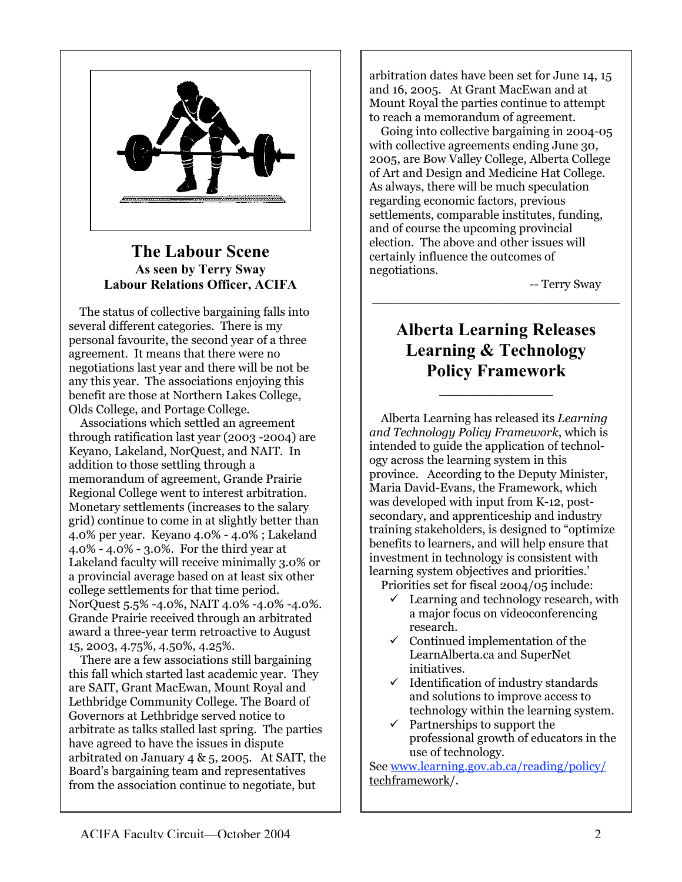

#### The Labour Scene As seen by Terry Sway Labour Relations Officer, ACIFA

 The status of collective bargaining falls into several different categories. There is my personal favourite, the second year of a three agreement. It means that there were no negotiations last year and there will be not be any this year. The associations enjoying this benefit are those at Northern Lakes College, Olds College, and Portage College.

 Associations which settled an agreement through ratification last year (2003 -2004) are Keyano, Lakeland, NorQuest, and NAIT. In addition to those settling through a memorandum of agreement, Grande Prairie Regional College went to interest arbitration. Monetary settlements (increases to the salary grid) continue to come in at slightly better than 4.0% per year. Keyano 4.0% - 4.0% ; Lakeland 4.0% - 4.0% - 3.0%. For the third year at Lakeland faculty will receive minimally 3.0% or a provincial average based on at least six other college settlements for that time period. NorQuest 5.5% -4.0%, NAIT 4.0% -4.0% -4.0%. Grande Prairie received through an arbitrated award a three-year term retroactive to August 15, 2003, 4.75%, 4.50%, 4.25%.

 There are a few associations still bargaining this fall which started last academic year. They are SAIT, Grant MacEwan, Mount Royal and Lethbridge Community College. The Board of Governors at Lethbridge served notice to arbitrate as talks stalled last spring. The parties have agreed to have the issues in dispute arbitrated on January 4 &  $5$ , 2005. At SAIT, the Board's bargaining team and representatives from the association continue to negotiate, but

arbitration dates have been set for June 14, 15 and 16, 2005. At Grant MacEwan and at Mount Royal the parties continue to attempt to reach a memorandum of agreement.

 Going into collective bargaining in 2004-05 with collective agreements ending June 30, 2005, are Bow Valley College, Alberta College of Art and Design and Medicine Hat College. As always, there will be much speculation regarding economic factors, previous settlements, comparable institutes, funding, and of course the upcoming provincial election. The above and other issues will certainly influence the outcomes of negotiations.

-- Terry Sway

## Alberta Learning Releases Learning & Technology Policy Framework

 $\mathcal{L}_\text{max}$  , where  $\mathcal{L}_\text{max}$ 

\_\_\_\_\_\_\_\_\_\_\_\_\_\_\_\_\_\_\_\_\_\_\_\_\_\_\_\_\_\_\_\_

 Alberta Learning has released its *Learning and Technology Policy Framework*, which is intended to guide the application of technology across the learning system in this province. According to the Deputy Minister, Maria David-Evans, the Framework, which was developed with input from K-12, postsecondary, and apprenticeship and industry training stakeholders, is designed to "optimize benefits to learners, and will help ensure that investment in technology is consistent with learning system objectives and priorities.' Priorities set for fiscal 2004/05 include:

- $\checkmark$  Learning and technology research, with a major focus on videoconferencing research.
- $\checkmark$  Continued implementation of the LearnAlberta.ca and SuperNet initiatives.
- $\checkmark$  Identification of industry standards and solutions to improve access to technology within the learning system.
- $\checkmark$  Partnerships to support the professional growth of educators in the use of technology.

See www.learning.gov.ab.ca/reading/policy/ techframework/.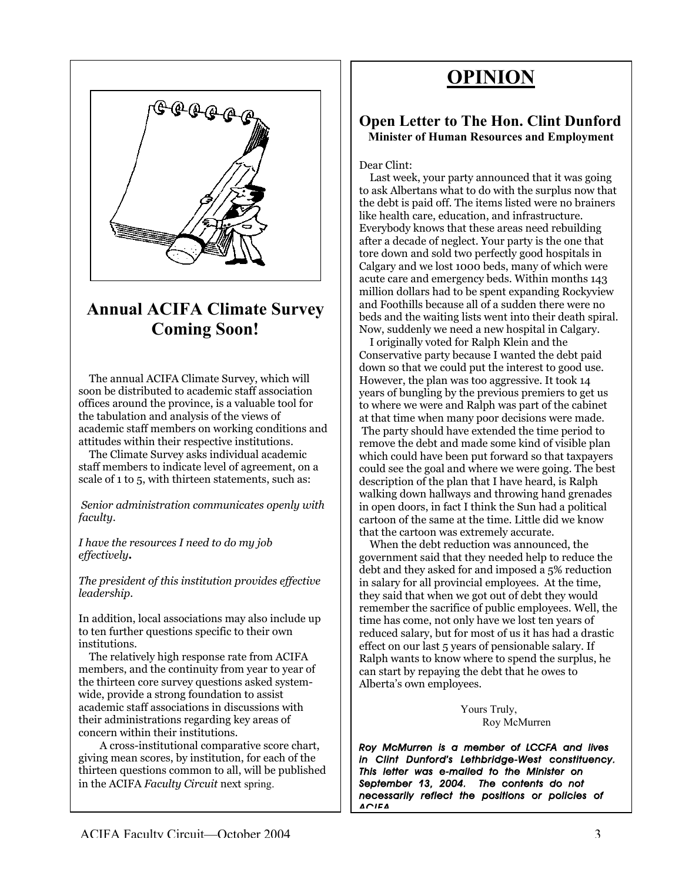# OPINION



# Annual ACIFA Climate Survey Coming Soon!

 The annual ACIFA Climate Survey, which will soon be distributed to academic staff association offices around the province, is a valuable tool for the tabulation and analysis of the views of academic staff members on working conditions and attitudes within their respective institutions.

 The Climate Survey asks individual academic staff members to indicate level of agreement, on a scale of 1 to 5, with thirteen statements, such as:

*Senior administration communicates openly with faculty*.

*I have the resources I need to do my job effectively***.**

*The president of this institution provides effective leadership*.

In addition, local associations may also include up to ten further questions specific to their own institutions.

 The relatively high response rate from ACIFA members, and the continuity from year to year of the thirteen core survey questions asked systemwide, provide a strong foundation to assist academic staff associations in discussions with their administrations regarding key areas of concern within their institutions.

 in the ACIFA *Faculty Circuit* next spring. A cross-institutional comparative score chart, giving mean scores, by institution, for each of the thirteen questions common to all, will be published

#### Open Letter to The Hon. Clint Dunford Minister of Human Resources and Employment

#### Dear Clint:

 Last week, your party announced that it was going to ask Albertans what to do with the surplus now that the debt is paid off. The items listed were no brainers like health care, education, and infrastructure. Everybody knows that these areas need rebuilding after a decade of neglect. Your party is the one that tore down and sold two perfectly good hospitals in Calgary and we lost 1000 beds, many of which were acute care and emergency beds. Within months 143 million dollars had to be spent expanding Rockyview and Foothills because all of a sudden there were no beds and the waiting lists went into their death spiral. Now, suddenly we need a new hospital in Calgary.

 I originally voted for Ralph Klein and the Conservative party because I wanted the debt paid down so that we could put the interest to good use. However, the plan was too aggressive. It took 14 years of bungling by the previous premiers to get us to where we were and Ralph was part of the cabinet at that time when many poor decisions were made. The party should have extended the time period to remove the debt and made some kind of visible plan which could have been put forward so that taxpayers could see the goal and where we were going. The best description of the plan that I have heard, is Ralph walking down hallways and throwing hand grenades in open doors, in fact I think the Sun had a political cartoon of the same at the time. Little did we know that the cartoon was extremely accurate.

 When the debt reduction was announced, the government said that they needed help to reduce the debt and they asked for and imposed a 5% reduction in salary for all provincial employees. At the time, they said that when we got out of debt they would remember the sacrifice of public employees. Well, the time has come, not only have we lost ten years of reduced salary, but for most of us it has had a drastic effect on our last 5 years of pensionable salary. If Ralph wants to know where to spend the surplus, he can start by repaying the debt that he owes to Alberta's own employees.

> Yours Truly, Roy McMurren

*Roy McMurren is a member of LCCFA and lives in Clint Dunford's Lethbridge-West constituency. This letter was e-mailed to the Minister on September 13, 2004. The contents do not necessarily reflect the positions or policies of ACIFA.*